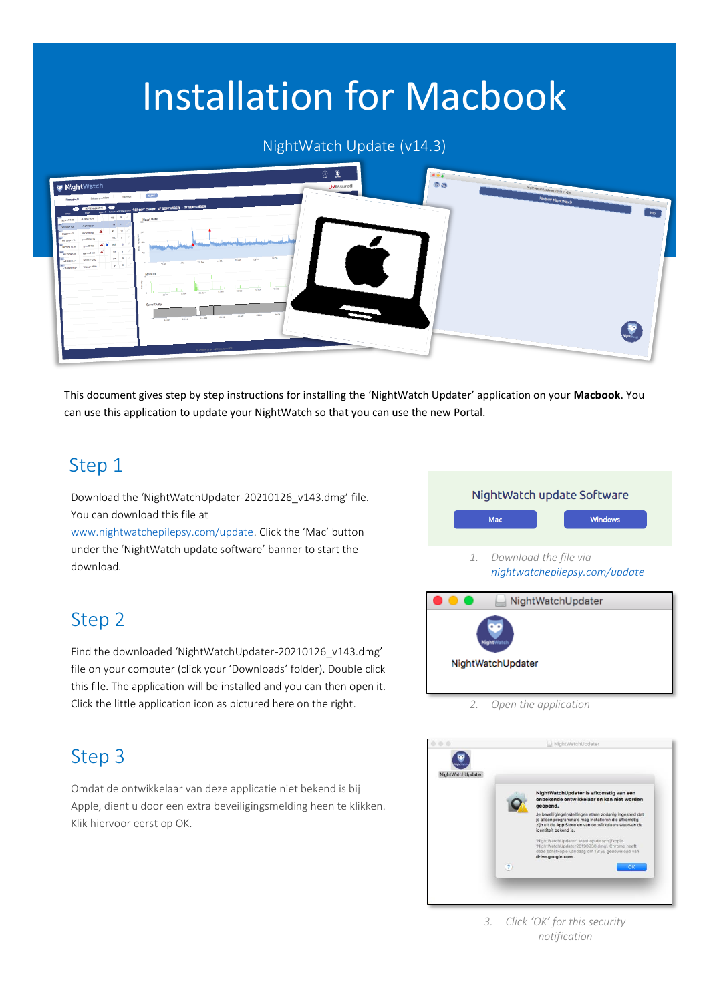# Installation for Macbook

#### NightWatch Update (v14.3)



This document gives step by step instructions for installing the 'NightWatch Updater' application on your **Macbook**. You can use this application to update your NightWatch so that you can use the new Portal.

#### Step 1

Download the 'NightWatchUpdater-20210126\_v143.dmg' file. You can download this file at

[www.nightwatchepilepsy.com/update](https://www.nightwatchepilepsy.com/update). Click the 'Mac' button under the 'NightWatch update software' banner to start the download.

#### Step 2

Find the downloaded 'NightWatchUpdater-20210126\_v143.dmg' file on your computer (click your 'Downloads' folder). Double click this file. The application will be installed and you can then open it. Click the little application icon as pictured here on the right.

## Mac Windows *1. Download the file via [nightwatchepilepsy.com/update](https://www.nightwatchepilepsy.com/update)* NightWatchUpdater

NightWatch update Software

*2. Open the application*

NightWatchUpdater

#### Step 3

Omdat de ontwikkelaar van deze applicatie niet bekend is bij Apple, dient u door een extra beveiligingsmelding heen te klikken. Klik hiervoor eerst op OK.



*3. Click 'OK' for this security notification*